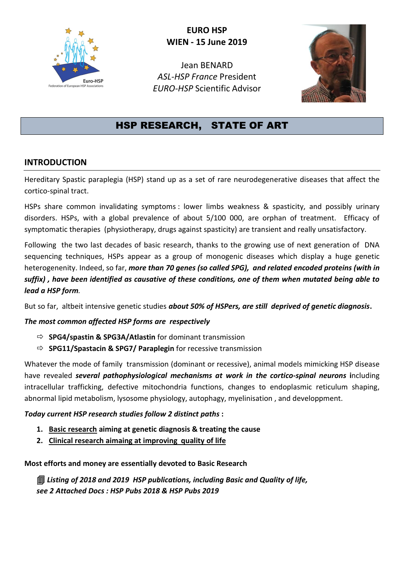

# **EURO HSP WIEN - 15 June 2019**

Jean BENARD *ASL-HSP France* President *EURO-HSP* Scientific Advisor



# HSP RESEARCH, STATE OF ART

## **INTRODUCTION**

Hereditary Spastic paraplegia (HSP) stand up as a set of rare neurodegenerative diseases that affect the cortico-spinal tract.

HSPs share common invalidating symptoms : lower limbs weakness & spasticity, and possibly urinary disorders. HSPs, with a global prevalence of about 5/100 000, are orphan of treatment. Efficacy of symptomatic therapies (physiotherapy, drugs against spasticity) are transient and really unsatisfactory.

Following the two last decades of basic research, thanks to the growing use of next generation of DNA sequencing techniques, HSPs appear as a group of monogenic diseases which display a huge genetic heterogenenity. Indeed, so far, *more than 70 genes (so called SPG), and related encoded proteins (with in suffix) , have been identified as causative of these conditions, one of them when mutated being able to lead a HSP form.*

But so far, altbeit intensive genetic studies *about 50% of HSPers, are still deprived of genetic diagnosis***.**

### *The most common affected HSP forms are respectively*

- **SPG4/spastin & SPG3A/Atlastin** for dominant transmission
- **SPG11/Spastacin & SPG7/ Paraplegin** for recessive transmission

Whatever the mode of family transmission (dominant or recessive), animal models mimicking HSP disease have revealed *several pathophysiological mechanisms at work in the cortico-spinal neurons* **i**ncluding intracellular trafficking, defective mitochondria functions, changes to endoplasmic reticulum shaping, abnormal lipid metabolism, lysosome physiology, autophagy, myelinisation , and developpment.

### *Today current HSP research studies follow 2 distinct paths* **:**

- **1. Basic research aiming at genetic diagnosis & treating the cause**
- **2. Clinical research aimaing at improving quality of life**

**Most efforts and money are essentially devoted to Basic Research**

 *Listing of 2018 and 2019 HSP publications, including Basic and Quality of life, see 2 Attached Docs : HSP Pubs 2018 & HSP Pubs 2019*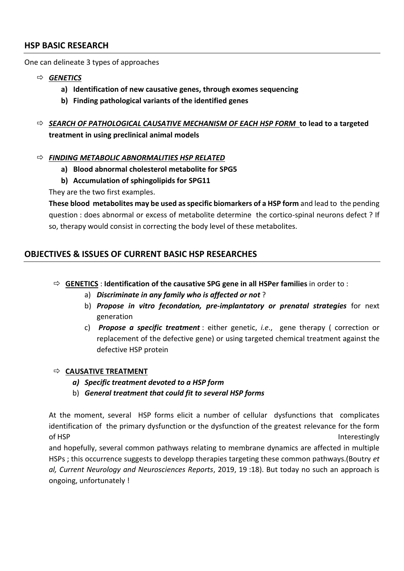#### **HSP BASIC RESEARCH**

One can delineate 3 types of approaches

- *GENETICS* 
	- **a) Identification of new causative genes, through exomes sequencing**
	- **b) Finding pathological variants of the identified genes**
- *SEARCH OF PATHOLOGICAL CAUSATIVE MECHANISM OF EACH HSP FORM* **to lead to a targeted treatment in using preclinical animal models**

#### *FINDING METABOLIC ABNORMALITIES HSP RELATED*

- **a) Blood abnormal cholesterol metabolite for SPG5**
- **b) Accumulation of sphingolipids for SPG11**

They are the two first examples.

**These blood metabolites may be used as specific biomarkers of a HSP form** and lead to the pending question : does abnormal or excess of metabolite determine the cortico-spinal neurons defect ? If so, therapy would consist in correcting the body level of these metabolites.

## **OBJECTIVES & ISSUES OF CURRENT BASIC HSP RESEARCHES**

- **GENETICS** : **Identification of the causative SPG gene in all HSPer families** in order to :
	- a) *Discriminate in any family who is affected or not* ?
	- b) *Propose in vitro fecondation, pre-implantatory or prenatal strategies* for next generation
	- c) *Propose a specific treatment* : either genetic, *i.e*., gene therapy ( correction or replacement of the defective gene) or using targeted chemical treatment against the defective HSP protein

#### $\Rightarrow$  **CAUSATIVE TREATMENT**

- *a) Specific treatment devoted to a HSP form*
- b) *General treatment that could fit to several HSP forms*

At the moment, several HSP forms elicit a number of cellular dysfunctions that complicates identification of the primary dysfunction or the dysfunction of the greatest relevance for the form of HSP **Interestingly** 

and hopefully, several common pathways relating to membrane dynamics are affected in multiple HSPs ; this occurrence suggests to developp therapies targeting these common pathways.(Boutry *et al, Current Neurology and Neurosciences Reports*, 2019, 19 :18). But today no such an approach is ongoing, unfortunately !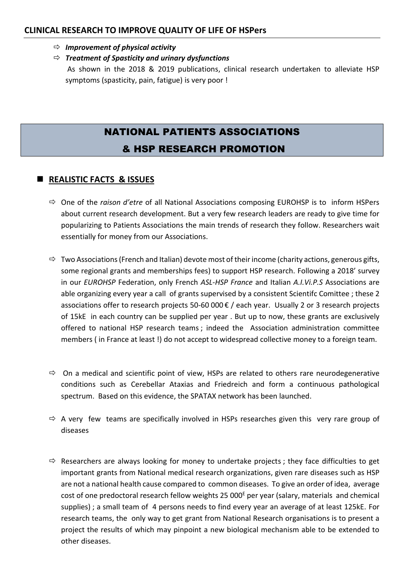#### **CLINICAL RESEARCH TO IMPROVE QUALITY OF LIFE OF HSPers**

- $\Rightarrow$  *Improvement of physical activity*
- *Treatment of Spasticity and urinary dysfunctions*

As shown in the 2018 & 2019 publications, clinical research undertaken to alleviate HSP symptoms (spasticity, pain, fatigue) is very poor !

# NATIONAL PATIENTS ASSOCIATIONS & HSP RESEARCH PROMOTION

## ◼ **REALISTIC FACTS & ISSUES**

- One of the *raison d'etre* of all National Associations composing EUROHSP is to inform HSPers about current research development. But a very few research leaders are ready to give time for popularizing to Patients Associations the main trends of research they follow. Researchers wait essentially for money from our Associations.
- $\Rightarrow$  Two Associations (French and Italian) devote most of their income (charity actions, generous gifts, some regional grants and memberships fees) to support HSP research. Following a 2018' survey in our *EUROHSP* Federation, only French *ASL-HSP France* and Italian *A.I.Vi.P.S* Associations are able organizing every year a call of grants supervised by a consistent Scientifc Comittee ; these 2 associations offer to research projects 50-60 000 € / each year. Usually 2 or 3 research projects of 15kE in each country can be supplied per year . But up to now, these grants are exclusively offered to national HSP research teams ; indeed the Association administration committee members ( in France at least !) do not accept to widespread collective money to a foreign team.
- $\Rightarrow$  On a medical and scientific point of view, HSPs are related to others rare neurodegenerative conditions such as Cerebellar Ataxias and Friedreich and form a continuous pathological spectrum. Based on this evidence, the SPATAX network has been launched.
- $\Rightarrow$  A very few teams are specifically involved in HSPs researches given this very rare group of diseases
- $\Rightarrow$  Researchers are always looking for money to undertake projects; they face difficulties to get important grants from National medical research organizations, given rare diseases such as HSP are not a national health cause compared to common diseases. To give an order of idea, average cost of one predoctoral research fellow weights 25 000<sup>E</sup> per year (salary, materials and chemical supplies) ; a small team of 4 persons needs to find every year an average of at least 125kE. For research teams, the only way to get grant from National Research organisations is to present a project the results of which may pinpoint a new biological mechanism able to be extended to other diseases.